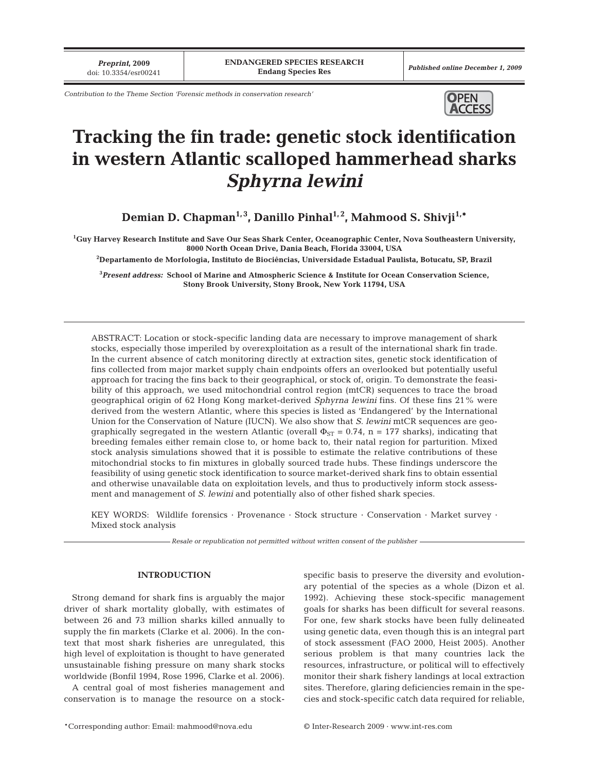*Preprint***, 2009**

*Contribution to the Theme Section 'Forensic methods in conservation research'* **OPEN** 



# **Tracking the fin trade: genetic stock identification in western Atlantic scalloped hammerhead sharks** *Sphyrna lewini*

Demian D. Chapman<sup>1,3</sup>, Danillo Pinhal<sup>1,2</sup>, Mahmood S. Shivji<sup>1,\*</sup>

**1 Guy Harvey Research Institute and Save Our Seas Shark Center, Oceanographic Center, Nova Southeastern University, 8000 North Ocean Drive, Dania Beach, Florida 33004, USA**

**2 Departamento de Morfologia, Instituto de Biociências, Universidade Estadual Paulista, Botucatu, SP, Brazil**

**3** *Present address:* **School of Marine and Atmospheric Science & Institute for Ocean Conservation Science, Stony Brook University, Stony Brook, New York 11794, USA**

ABSTRACT: Location or stock-specific landing data are necessary to improve management of shark stocks, especially those imperiled by overexploitation as a result of the international shark fin trade. In the current absence of catch monitoring directly at extraction sites, genetic stock identification of fins collected from major market supply chain endpoints offers an overlooked but potentially useful approach for tracing the fins back to their geographical, or stock of, origin. To demonstrate the feasibility of this approach, we used mitochondrial control region (mtCR) sequences to trace the broad geographical origin of 62 Hong Kong market-derived *Sphyrna lewini* fins. Of these fins 21% were derived from the western Atlantic, where this species is listed as 'Endangered' by the International Union for the Conservation of Nature (IUCN). We also show that *S. lewini* mtCR sequences are geographically segregated in the western Atlantic (overall  $\Phi_{ST} = 0.74$ , n = 177 sharks), indicating that breeding females either remain close to, or home back to, their natal region for parturition. Mixed stock analysis simulations showed that it is possible to estimate the relative contributions of these mitochondrial stocks to fin mixtures in globally sourced trade hubs. These findings underscore the feasibility of using genetic stock identification to source market-derived shark fins to obtain essential and otherwise unavailable data on exploitation levels, and thus to productively inform stock assessment and management of *S. lewini* and potentially also of other fished shark species.

KEY WORDS: Wildlife forensics · Provenance · Stock structure · Conservation · Market survey · Mixed stock analysis

*Resale or republication not permitted without written consent of the publisher*

# **INTRODUCTION**

Strong demand for shark fins is arguably the major driver of shark mortality globally, with estimates of between 26 and 73 million sharks killed annually to supply the fin markets (Clarke et al. 2006). In the context that most shark fisheries are unregulated, this high level of exploitation is thought to have generated unsustainable fishing pressure on many shark stocks worldwide (Bonfil 1994, Rose 1996, Clarke et al. 2006).

A central goal of most fisheries management and conservation is to manage the resource on a stockspecific basis to preserve the diversity and evolutionary potential of the species as a whole (Dizon et al. 1992). Achieving these stock-specific management goals for sharks has been difficult for several reasons. For one, few shark stocks have been fully delineated using genetic data, even though this is an integral part of stock assessment (FAO 2000, Heist 2005). Another serious problem is that many countries lack the resources, infrastructure, or political will to effectively monitor their shark fishery landings at local extraction sites. Therefore, glaring deficiencies remain in the species and stock-specific catch data required for reliable,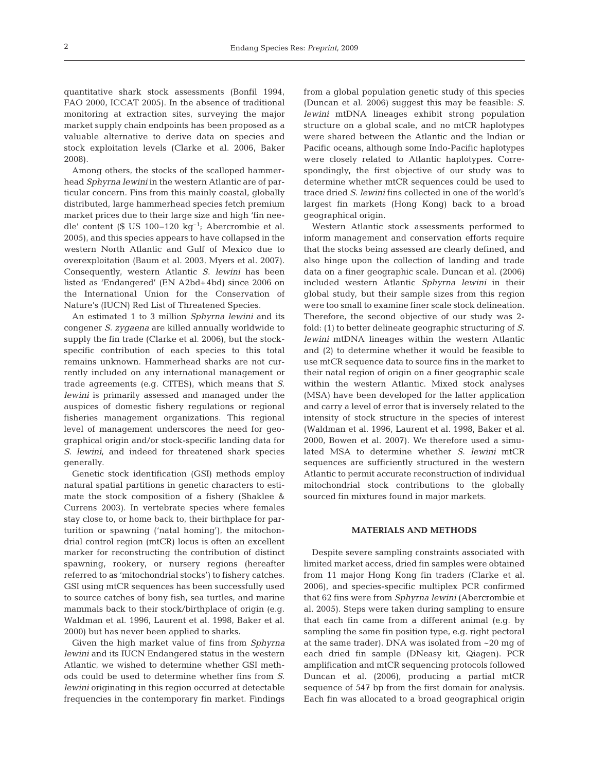quantitative shark stock assessments (Bonfil 1994, FAO 2000, ICCAT 2005). In the absence of traditional monitoring at extraction sites, surveying the major market supply chain endpoints has been proposed as a valuable alternative to derive data on species and stock exploitation levels (Clarke et al. 2006, Baker 2008).

Among others, the stocks of the scalloped hammerhead *Sphyrna lewini* in the western Atlantic are of particular concern. Fins from this mainly coastal, globally distributed, large hammerhead species fetch premium market prices due to their large size and high 'fin needle' content (\$ US 100–120 kg<sup>-1</sup>; Abercrombie et al. 2005), and this species appears to have collapsed in the western North Atlantic and Gulf of Mexico due to overexploitation (Baum et al. 2003, Myers et al. 2007). Consequently, western Atlantic *S. lewini* has been listed as 'Endangered' (EN A2bd+4bd) since 2006 on the International Union for the Conservation of Nature's (IUCN) Red List of Threatened Species.

An estimated 1 to 3 million *Sphyrna lewini* and its congener *S. zygaena* are killed annually worldwide to supply the fin trade (Clarke et al. 2006), but the stockspecific contribution of each species to this total remains unknown. Hammerhead sharks are not currently included on any international management or trade agreements (e.g. CITES), which means that *S. lewini* is primarily assessed and managed under the auspices of domestic fishery regulations or regional fisheries management organizations. This regional level of management underscores the need for geographical origin and/or stock-specific landing data for *S. lewini*, and indeed for threatened shark species generally.

Genetic stock identification (GSI) methods employ natural spatial partitions in genetic characters to estimate the stock composition of a fishery (Shaklee & Currens 2003). In vertebrate species where females stay close to, or home back to, their birthplace for parturition or spawning ('natal homing'), the mitochondrial control region (mtCR) locus is often an excellent marker for reconstructing the contribution of distinct spawning, rookery, or nursery regions (hereafter referred to as 'mitochondrial stocks') to fishery catches. GSI using mtCR sequences has been successfully used to source catches of bony fish, sea turtles, and marine mammals back to their stock/birthplace of origin (e.g. Waldman et al. 1996, Laurent et al. 1998, Baker et al. 2000) but has never been applied to sharks.

Given the high market value of fins from *Sphyrna lewini* and its IUCN Endangered status in the western Atlantic, we wished to determine whether GSI methods could be used to determine whether fins from *S. lewini* originating in this region occurred at detectable frequencies in the contemporary fin market. Findings

from a global population genetic study of this species (Duncan et al. 2006) suggest this may be feasible: *S. lewini* mtDNA lineages exhibit strong population structure on a global scale, and no mtCR haplotypes were shared between the Atlantic and the Indian or Pacific oceans, although some Indo-Pacific haplotypes were closely related to Atlantic haplotypes. Correspondingly, the first objective of our study was to determine whether mtCR sequences could be used to trace dried *S. lewini* fins collected in one of the world's largest fin markets (Hong Kong) back to a broad geographical origin.

Western Atlantic stock assessments performed to inform management and conservation efforts require that the stocks being assessed are clearly defined, and also hinge upon the collection of landing and trade data on a finer geographic scale. Duncan et al. (2006) included western Atlantic *Sphyrna lewini* in their global study, but their sample sizes from this region were too small to examine finer scale stock delineation. Therefore, the second objective of our study was 2 fold: (1) to better delineate geographic structuring of *S. lewini* mtDNA lineages within the western Atlantic and (2) to determine whether it would be feasible to use mtCR sequence data to source fins in the market to their natal region of origin on a finer geographic scale within the western Atlantic. Mixed stock analyses (MSA) have been developed for the latter application and carry a level of error that is inversely related to the intensity of stock structure in the species of interest (Waldman et al. 1996, Laurent et al. 1998, Baker et al. 2000, Bowen et al. 2007). We therefore used a simulated MSA to determine whether *S. lewini* mtCR sequences are sufficiently structured in the western Atlantic to permit accurate reconstruction of individual mitochondrial stock contributions to the globally sourced fin mixtures found in major markets.

# **MATERIALS AND METHODS**

Despite severe sampling constraints associated with limited market access, dried fin samples were obtained from 11 major Hong Kong fin traders (Clarke et al. 2006), and species-specific multiplex PCR confirmed that 62 fins were from *Sphyrna lewini* (Abercrombie et al. 2005). Steps were taken during sampling to ensure that each fin came from a different animal (e.g. by sampling the same fin position type, e.g. right pectoral at the same trader). DNA was isolated from ~20 mg of each dried fin sample (DNeasy kit, Qiagen). PCR amplification and mtCR sequencing protocols followed Duncan et al. (2006), producing a partial mtCR sequence of 547 bp from the first domain for analysis. Each fin was allocated to a broad geographical origin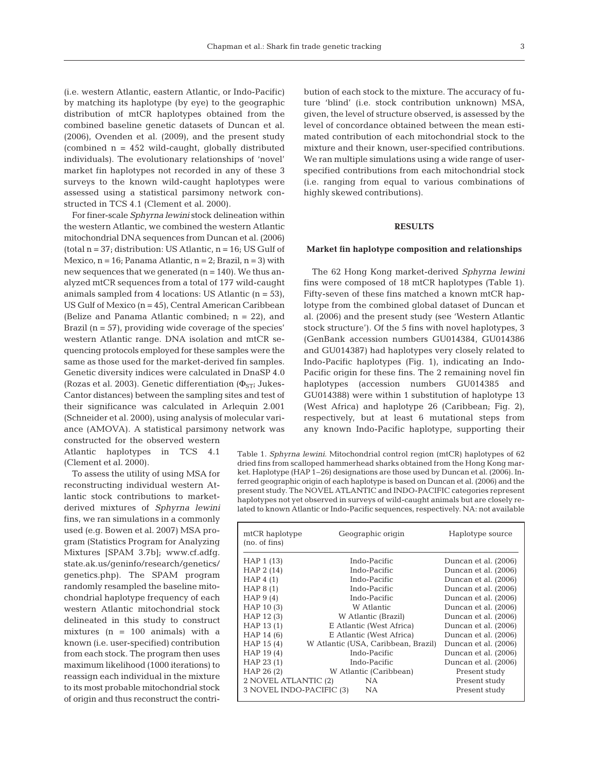(i.e. western Atlantic, eastern Atlantic, or Indo-Pacific) by matching its haplotype (by eye) to the geographic distribution of mtCR haplotypes obtained from the combined baseline genetic datasets of Duncan et al. (2006), Ovenden et al. (2009), and the present study (combined  $n = 452$  wild-caught, globally distributed individuals). The evolutionary relationships of 'novel' market fin haplotypes not recorded in any of these 3 surveys to the known wild-caught haplotypes were assessed using a statistical parsimony network constructed in TCS 4.1 (Clement et al. 2000).

For finer-scale *Sphyrna lewini* stock delineation within the western Atlantic, we combined the western Atlantic mitochondrial DNA sequences from Duncan et al. (2006) (total  $n = 37$ ; distribution: US Atlantic,  $n = 16$ ; US Gulf of Mexico,  $n = 16$ ; Panama Atlantic,  $n = 2$ ; Brazil,  $n = 3$ ) with new sequences that we generated  $(n = 140)$ . We thus analyzed mtCR sequences from a total of 177 wild-caught animals sampled from 4 locations: US Atlantic  $(n = 53)$ , US Gulf of Mexico (n = 45), Central American Caribbean (Belize and Panama Atlantic combined; n = 22), and Brazil ( $n = 57$ ), providing wide coverage of the species' western Atlantic range. DNA isolation and mtCR sequencing protocols employed for these samples were the same as those used for the market-derived fin samples. Genetic diversity indices were calculated in DnaSP 4.0 (Rozas et al. 2003). Genetic differentiation ( $\Phi$ <sub>ST</sub>; Jukes-Cantor distances) between the sampling sites and test of their significance was calculated in Arlequin 2.001 (Schneider et al. 2000), using analysis of molecular variance (AMOVA). A statistical parsimony network was constructed for the observed western

Atlantic haplotypes in TCS 4.1 (Clement et al. 2000).

To assess the utility of using MSA for reconstructing individual western Atlantic stock contributions to marketderived mixtures of *Sphyrna lewini* fins, we ran simulations in a commonly used (e.g. Bowen et al. 2007) MSA program (Statistics Program for Analyzing Mixtures [SPAM 3.7b]; www.cf.adfg. state.ak.us/geninfo/research/genetics/ genetics.php). The SPAM program randomly resampled the baseline mitochondrial haplotype frequency of each western Atlantic mitochondrial stock delineated in this study to construct mixtures  $(n = 100 \text{ animals})$  with a known (i.e. user-specified) contribution from each stock. The program then uses maximum likelihood (1000 iterations) to reassign each individual in the mixture to its most probable mitochondrial stock of origin and thus reconstruct the contribution of each stock to the mixture. The accuracy of future 'blind' (i.e. stock contribution unknown) MSA, given, the level of structure observed, is assessed by the level of concordance obtained between the mean estimated contribution of each mitochondrial stock to the mixture and their known, user-specified contributions. We ran multiple simulations using a wide range of userspecified contributions from each mitochondrial stock (i.e. ranging from equal to various combinations of highly skewed contributions).

#### **RESULTS**

#### **Market fin haplotype composition and relationships**

The 62 Hong Kong market-derived *Sphyrna lewini* fins were composed of 18 mtCR haplotypes (Table 1). Fifty-seven of these fins matched a known mtCR haplotype from the combined global dataset of Duncan et al. (2006) and the present study (see 'Western Atlantic stock structure'). Of the 5 fins with novel haplotypes, 3 (GenBank accession numbers GU014384, GU014386 and GU014387) had haplotypes very closely related to Indo-Pacific haplotypes (Fig. 1), indicating an Indo-Pacific origin for these fins. The 2 remaining novel fin haplotypes (accession numbers GU014385 and GU014388) were within 1 substitution of haplotype 13 (West Africa) and haplotype 26 (Caribbean; Fig. 2), respectively, but at least 6 mutational steps from any known Indo-Pacific haplotype, supporting their

Table 1. *Sphyrna lewini.* Mitochondrial control region (mtCR) haplotypes of 62 dried fins from scalloped hammerhead sharks obtained from the Hong Kong market. Haplotype (HAP 1–26) designations are those used by Duncan et al. (2006). Inferred geographic origin of each haplotype is based on Duncan et al. (2006) and the present study. The NOVEL ATLANTIC and INDO-PACIFIC categories represent haplotypes not yet observed in surveys of wild-caught animals but are closely related to known Atlantic or Indo-Pacific sequences, respectively. NA: not available

| mtCR haplotype<br>(no. of fins)                  | Geographic origin                   | Haplotype source     |  |  |
|--------------------------------------------------|-------------------------------------|----------------------|--|--|
| HAP 1 (13)                                       | Indo-Pacific                        | Duncan et al. (2006) |  |  |
| HAP 2 (14)                                       | Indo-Pacific                        | Duncan et al. (2006) |  |  |
| HAP $4(1)$                                       | Indo-Pacific                        | Duncan et al. (2006) |  |  |
| HAP $8(1)$                                       | Indo-Pacific                        | Duncan et al. (2006) |  |  |
| HAP $9(4)$                                       | Indo-Pacific                        | Duncan et al. (2006) |  |  |
| HAP 10(3)                                        | W Atlantic                          | Duncan et al. (2006) |  |  |
| HAP 12(3)                                        | W Atlantic (Brazil)                 | Duncan et al. (2006) |  |  |
| HAP 13(1)                                        | E Atlantic (West Africa)            | Duncan et al. (2006) |  |  |
| HAP 14 (6)                                       | E Atlantic (West Africa)            | Duncan et al. (2006) |  |  |
| HAP 15(4)                                        | W Atlantic (USA, Caribbean, Brazil) | Duncan et al. (2006) |  |  |
| HAP 19(4)                                        | Indo-Pacific                        | Duncan et al. (2006) |  |  |
| HAP 23(1)                                        | Indo-Pacific                        | Duncan et al. (2006) |  |  |
| HAP 26 (2)                                       | W Atlantic (Caribbean)              | Present study        |  |  |
| 2 NOVEL ATLANTIC (2)                             | NA.                                 | Present study        |  |  |
| 3 NOVEL INDO-PACIFIC (3)<br>NA.<br>Present study |                                     |                      |  |  |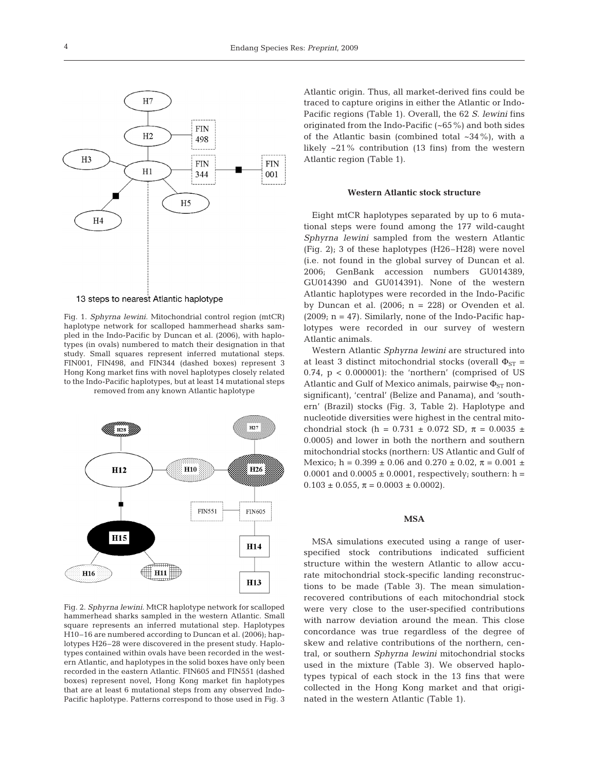

13 steps to nearest Atlantic haplotype

Fig. 1. *Sphyrna lewini.* Mitochondrial control region (mtCR) haplotype network for scalloped hammerhead sharks sampled in the Indo-Pacific by Duncan et al. (2006), with haplotypes (in ovals) numbered to match their designation in that study. Small squares represent inferred mutational steps. FIN001, FIN498, and FIN344 (dashed boxes) represent 3 Hong Kong market fins with novel haplotypes closely related to the Indo-Pacific haplotypes, but at least 14 mutational steps removed from any known Atlantic haplotype





Fig. 2. *Sphyrna lewini.* MtCR haplotype network for scalloped hammerhead sharks sampled in the western Atlantic. Small square represents an inferred mutational step. Haplotypes H10–16 are numbered according to Duncan et al. (2006); haplotypes H26–28 were discovered in the present study. Haplotypes contained within ovals have been recorded in the western Atlantic, and haplotypes in the solid boxes have only been recorded in the eastern Atlantic. FIN605 and FIN551 (dashed boxes) represent novel, Hong Kong market fin haplotypes that are at least 6 mutational steps from any observed Indo-Pacific haplotype. Patterns correspond to those used in Fig. 3

Atlantic origin. Thus, all market-derived fins could be traced to capture origins in either the Atlantic or Indo-Pacific regions (Table 1). Overall, the 62 *S. lewini* fins originated from the Indo-Pacific (~65%) and both sides of the Atlantic basin (combined total  $\sim$ 34%), with a likely ~21% contribution (13 fins) from the western Atlantic region (Table 1).

## **Western Atlantic stock structure**

Eight mtCR haplotypes separated by up to 6 mutational steps were found among the 177 wild-caught *Sphyrna lewini* sampled from the western Atlantic (Fig. 2); 3 of these haplotypes (H26–H28) were novel (i.e. not found in the global survey of Duncan et al. 2006; GenBank accession numbers GU014389, GU014390 and GU014391). None of the western Atlantic haplotypes were recorded in the Indo-Pacific by Duncan et al.  $(2006; n = 228)$  or Ovenden et al. (2009;  $n = 47$ ). Similarly, none of the Indo-Pacific haplotypes were recorded in our survey of western Atlantic animals.

Western Atlantic *Sphyrna lewini* are structured into at least 3 distinct mitochondrial stocks (overall  $\Phi_{ST}$  = 0.74, p < 0.000001): the 'northern' (comprised of US Atlantic and Gulf of Mexico animals, pairwise  $\Phi_{ST}$  nonsignificant), 'central' (Belize and Panama), and 'southern' (Brazil) stocks (Fig. 3, Table 2). Haplotype and nucleotide diversities were highest in the central mitochondrial stock (h = 0.731  $\pm$  0.072 SD,  $\pi$  = 0.0035  $\pm$ 0.0005) and lower in both the northern and southern mitochondrial stocks (northern: US Atlantic and Gulf of Mexico; h =  $0.399 \pm 0.06$  and  $0.270 \pm 0.02$ ,  $\pi = 0.001 \pm 0.02$ 0.0001 and  $0.0005 \pm 0.0001$ , respectively; southern: h =  $0.103 \pm 0.055$ ,  $\pi = 0.0003 \pm 0.0002$ ).

#### **MSA**

MSA simulations executed using a range of userspecified stock contributions indicated sufficient structure within the western Atlantic to allow accurate mitochondrial stock-specific landing reconstructions to be made (Table 3). The mean simulationrecovered contributions of each mitochondrial stock were very close to the user-specified contributions with narrow deviation around the mean. This close concordance was true regardless of the degree of skew and relative contributions of the northern, central, or southern *Sphyrna lewini* mitochondrial stocks used in the mixture (Table 3). We observed haplotypes typical of each stock in the 13 fins that were collected in the Hong Kong market and that originated in the western Atlantic (Table 1).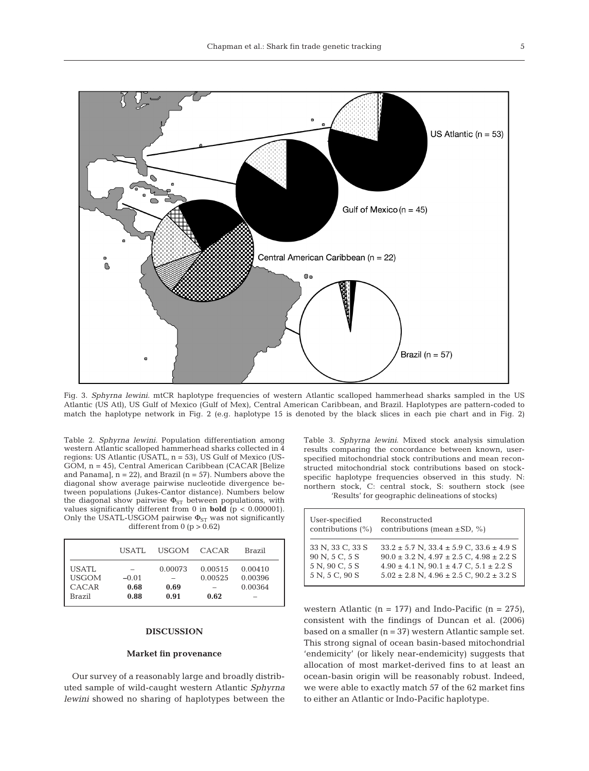

Fig. 3. *Sphyrna lewini.* mtCR haplotype frequencies of western Atlantic scalloped hammerhead sharks sampled in the US Atlantic (US Atl), US Gulf of Mexico (Gulf of Mex), Central American Caribbean, and Brazil. Haplotypes are pattern-coded to match the haplotype network in Fig. 2 (e.g. haplotype 15 is denoted by the black slices in each pie chart and in Fig. 2)

Table 2. *Sphyrna lewini.* Population differentiation among western Atlantic scalloped hammerhead sharks collected in 4 regions: US Atlantic (USATL, n = 53), US Gulf of Mexico (US-GOM, n = 45), Central American Caribbean (CACAR [Belize and Panama],  $n = 22$ ), and Brazil ( $n = 57$ ). Numbers above the diagonal show average pairwise nucleotide divergence between populations (Jukes-Cantor distance). Numbers below the diagonal show pairwise  $\Phi_{ST}$  between populations, with values significantly different from 0 in **bold** (p < 0.000001). Only the USATL-USGOM pairwise  $\Phi_{ST}$  was not significantly different from  $0$  ( $p > 0.62$ )

|                                          | USATL.                  | USGOM CACAR             |                            | Brazil                        |
|------------------------------------------|-------------------------|-------------------------|----------------------------|-------------------------------|
| USATL<br><b>USGOM</b><br>CACAR<br>Brazil | $-0.01$<br>0.68<br>0.88 | 0.00073<br>0.69<br>0.91 | 0.00515<br>0.00525<br>0.62 | 0.00410<br>0.00396<br>0.00364 |

## **DISCUSSION**

#### **Market fin provenance**

Our survey of a reasonably large and broadly distributed sample of wild-caught western Atlantic *Sphyrna lewini* showed no sharing of haplotypes between the Table 3. *Sphyrna lewini*. Mixed stock analysis simulation results comparing the concordance between known, userspecified mitochondrial stock contributions and mean reconstructed mitochondrial stock contributions based on stockspecific haplotype frequencies observed in this study. N: northern stock, C: central stock, S: southern stock (see 'Results' for geographic delineations of stocks)

| User-specified       | Reconstructed                                        |
|----------------------|------------------------------------------------------|
| contributions $(\%)$ | contributions (mean $\pm$ SD, %)                     |
| 33 N, 33 C, 33 S     | $33.2 \pm 5.7$ N, $33.4 \pm 5.9$ C, $33.6 \pm 4.9$ S |
| 90 N, 5 C, 5 S       | $90.0 \pm 3.2$ N, $4.97 \pm 2.5$ C, $4.98 \pm 2.2$ S |
| 5 N, 90 C, 5 S       | $4.90 \pm 4.1$ N, $90.1 \pm 4.7$ C, $5.1 \pm 2.2$ S  |
| 5 N, 5 C, 90 S       | $5.02 \pm 2.8$ N, $4.96 \pm 2.5$ C, $90.2 \pm 3.2$ S |

western Atlantic ( $n = 177$ ) and Indo-Pacific ( $n = 275$ ), consistent with the findings of Duncan et al. (2006) based on a smaller (n = 37) western Atlantic sample set. This strong signal of ocean basin-based mitochondrial 'endemicity' (or likely near-endemicity) suggests that allocation of most market-derived fins to at least an ocean-basin origin will be reasonably robust. Indeed, we were able to exactly match 57 of the 62 market fins to either an Atlantic or Indo-Pacific haplotype.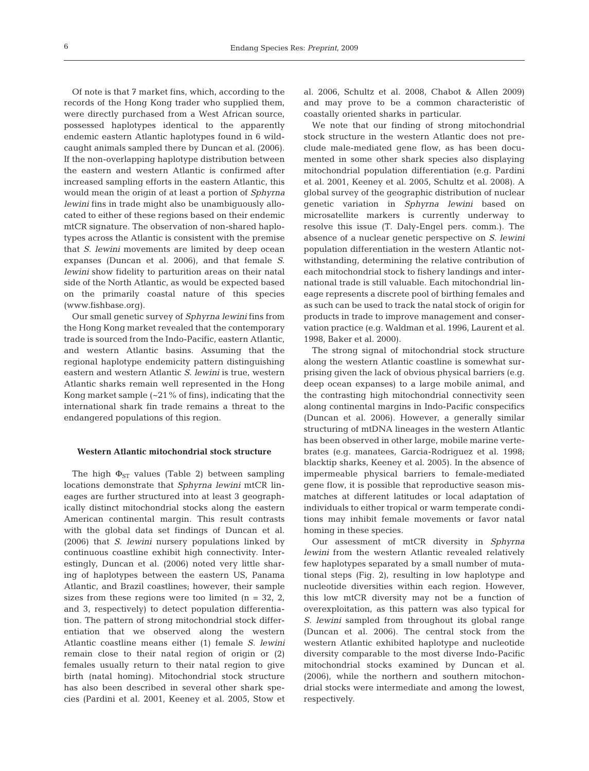Of note is that 7 market fins, which, according to the records of the Hong Kong trader who supplied them, were directly purchased from a West African source, possessed haplotypes identical to the apparently endemic eastern Atlantic haplotypes found in 6 wildcaught animals sampled there by Duncan et al. (2006). If the non-overlapping haplotype distribution between the eastern and western Atlantic is confirmed after increased sampling efforts in the eastern Atlantic, this would mean the origin of at least a portion of *Sphyrna lewini* fins in trade might also be unambiguously allocated to either of these regions based on their endemic mtCR signature. The observation of non-shared haplotypes across the Atlantic is consistent with the premise that *S. lewini* movements are limited by deep ocean expanses (Duncan et al. 2006), and that female *S. lewini* show fidelity to parturition areas on their natal side of the North Atlantic, as would be expected based on the primarily coastal nature of this species (www.fishbase.org).

Our small genetic survey of *Sphyrna lewini* fins from the Hong Kong market revealed that the contemporary trade is sourced from the Indo-Pacific, eastern Atlantic, and western Atlantic basins. Assuming that the regional haplotype endemicity pattern distinguishing eastern and western Atlantic *S. lewini* is true, western Atlantic sharks remain well represented in the Hong Kong market sample  $(-21\%$  of fins), indicating that the international shark fin trade remains a threat to the endangered populations of this region.

## **Western Atlantic mitochondrial stock structure**

The high  $\Phi_{ST}$  values (Table 2) between sampling locations demonstrate that *Sphyrna lewini* mtCR lineages are further structured into at least 3 geographically distinct mitochondrial stocks along the eastern American continental margin. This result contrasts with the global data set findings of Duncan et al. (2006) that *S. lewini* nursery populations linked by continuous coastline exhibit high connectivity. Interestingly, Duncan et al. (2006) noted very little sharing of haplotypes between the eastern US, Panama Atlantic, and Brazil coastlines; however, their sample sizes from these regions were too limited ( $n = 32, 2$ , and 3, respectively) to detect population differentiation. The pattern of strong mitochondrial stock differentiation that we observed along the western Atlantic coastline means either (1) female *S. lewini* remain close to their natal region of origin or (2) females usually return to their natal region to give birth (natal homing). Mitochondrial stock structure has also been described in several other shark species (Pardini et al. 2001, Keeney et al. 2005, Stow et

al. 2006, Schultz et al. 2008, Chabot & Allen 2009) and may prove to be a common characteristic of coastally oriented sharks in particular.

We note that our finding of strong mitochondrial stock structure in the western Atlantic does not preclude male-mediated gene flow, as has been documented in some other shark species also displaying mitochondrial population differentiation (e.g. Pardini et al. 2001, Keeney et al. 2005, Schultz et al. 2008). A global survey of the geographic distribution of nuclear genetic variation in *Sphyrna lewini* based on microsatellite markers is currently underway to resolve this issue (T. Daly-Engel pers. comm.). The absence of a nuclear genetic perspective on *S. lewini* population differentiation in the western Atlantic notwithstanding, determining the relative contribution of each mitochondrial stock to fishery landings and international trade is still valuable. Each mitochondrial lineage represents a discrete pool of birthing females and as such can be used to track the natal stock of origin for products in trade to improve management and conservation practice (e.g. Waldman et al. 1996, Laurent et al. 1998, Baker et al. 2000).

The strong signal of mitochondrial stock structure along the western Atlantic coastline is somewhat surprising given the lack of obvious physical barriers (e.g. deep ocean expanses) to a large mobile animal, and the contrasting high mitochondrial connectivity seen along continental margins in Indo-Pacific conspecifics (Duncan et al. 2006). However, a generally similar structuring of mtDNA lineages in the western Atlantic has been observed in other large, mobile marine vertebrates (e.g. manatees, Garcia-Rodriguez et al. 1998; blacktip sharks, Keeney et al. 2005). In the absence of impermeable physical barriers to female-mediated gene flow, it is possible that reproductive season mismatches at different latitudes or local adaptation of individuals to either tropical or warm temperate conditions may inhibit female movements or favor natal homing in these species.

Our assessment of mtCR diversity in *Sphyrna lewini* from the western Atlantic revealed relatively few haplotypes separated by a small number of mutational steps (Fig. 2), resulting in low haplotype and nucleotide diversities within each region. However, this low mtCR diversity may not be a function of overexploitation, as this pattern was also typical for *S. lewini* sampled from throughout its global range (Duncan et al. 2006). The central stock from the western Atlantic exhibited haplotype and nucleotide diversity comparable to the most diverse Indo-Pacific mitochondrial stocks examined by Duncan et al. (2006), while the northern and southern mitochondrial stocks were intermediate and among the lowest, respectively.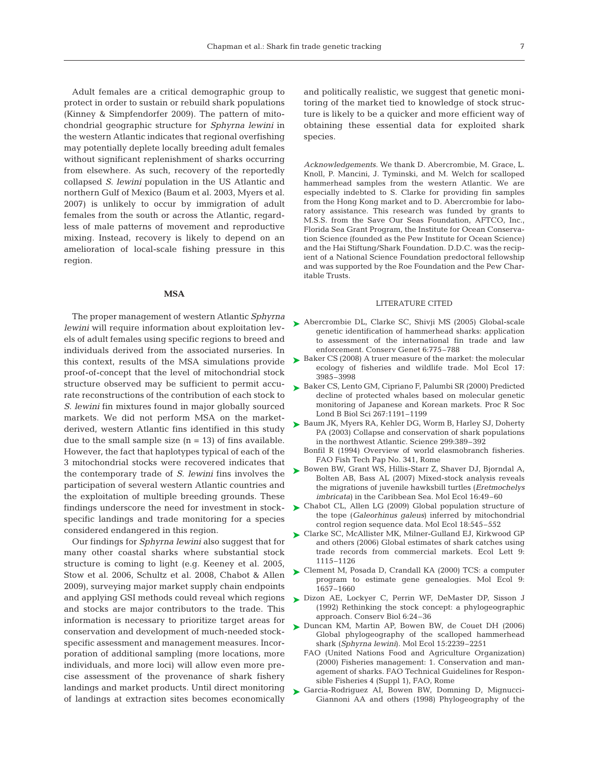Adult females are a critical demographic group to protect in order to sustain or rebuild shark populations (Kinney & Simpfendorfer 2009). The pattern of mitochondrial geographic structure for *Sphyrna lewini* in the western Atlantic indicates that regional overfishing may potentially deplete locally breeding adult females without significant replenishment of sharks occurring from elsewhere. As such, recovery of the reportedly collapsed *S. lewini* population in the US Atlantic and northern Gulf of Mexico (Baum et al. 2003, Myers et al. 2007) is unlikely to occur by immigration of adult females from the south or across the Atlantic, regardless of male patterns of movement and reproductive mixing. Instead, recovery is likely to depend on an amelioration of local-scale fishing pressure in this region.

#### **MSA**

The proper management of western Atlantic *Sphyrna lewini* will require information about exploitation levels of adult females using specific regions to breed and individuals derived from the associated nurseries. In this context, results of the MSA simulations provide proof-of-concept that the level of mitochondrial stock structure observed may be sufficient to permit accurate reconstructions of the contribution of each stock to *S. lewini* fin mixtures found in major globally sourced markets. We did not perform MSA on the marketderived, western Atlantic fins identified in this study due to the small sample size  $(n = 13)$  of fins available. However, the fact that haplotypes typical of each of the 3 mitochondrial stocks were recovered indicates that the contemporary trade of *S. lewini* fins involves the participation of several western Atlantic countries and the exploitation of multiple breeding grounds. These findings underscore the need for investment in stockspecific landings and trade monitoring for a species considered endangered in this region.

Our findings for *Sphyrna lewini* also suggest that for many other coastal sharks where substantial stock structure is coming to light (e.g. Keeney et al. 2005, Stow et al. 2006, Schultz et al. 2008, Chabot & Allen 2009), surveying major market supply chain endpoints and applying GSI methods could reveal which regions and stocks are major contributors to the trade. This information is necessary to prioritize target areas for conservation and development of much-needed stockspecific assessment and management measures. Incorporation of additional sampling (more locations, more individuals, and more loci) will allow even more precise assessment of the provenance of shark fishery landings and market products. Until direct monitoring of landings at extraction sites becomes economically

and politically realistic, we suggest that genetic monitoring of the market tied to knowledge of stock structure is likely to be a quicker and more efficient way of obtaining these essential data for exploited shark species.

*Acknowledgements.* We thank D. Abercrombie, M. Grace, L. Knoll, P. Mancini, J. Tyminski, and M. Welch for scalloped hammerhead samples from the western Atlantic. We are especially indebted to S. Clarke for providing fin samples from the Hong Kong market and to D. Abercrombie for laboratory assistance. This research was funded by grants to M.S.S. from the Save Our Seas Foundation, AFTCO, Inc., Florida Sea Grant Program, the Institute for Ocean Conservation Science (founded as the Pew Institute for Ocean Science) and the Hai Stiftung/Shark Foundation. D.D.C. was the recipient of a National Science Foundation predoctoral fellowship and was supported by the Roe Foundation and the Pew Charitable Trusts.

## LITERATURE CITED

- ► Abercrombie DL, Clarke SC, Shivji MS (2005) Global-scale genetic identification of hammerhead sharks: application to assessment of the international fin trade and law enforcement. Conserv Genet 6:775–788
- ► Baker CS (2008) A truer measure of the market: the molecular ecology of fisheries and wildlife trade. Mol Ecol 17: 3985–3998
- ► Baker CS, Lento GM, Cipriano F, Palumbi SR (2000) Predicted decline of protected whales based on molecular genetic monitoring of Japanese and Korean markets. Proc R Soc Lond B Biol Sci 267:1191–1199
- ► Baum JK, Myers RA, Kehler DG, Worm B, Harley SJ, Doherty PA (2003) Collapse and conservation of shark populations in the northwest Atlantic. Science 299:389–392
	- Bonfil R (1994) Overview of world elasmobranch fisheries. FAO Fish Tech Pap No. 341, Rome
- ► Bowen BW, Grant WS, Hillis-Starr Z, Shaver DJ, Bjorndal A, Bolten AB, Bass AL (2007) Mixed-stock analysis reveals the migrations of juvenile hawksbill turtles (*Eretmochelys imbricata*) in the Caribbean Sea. Mol Ecol 16:49–60
- ► Chabot CL, Allen LG (2009) Global population structure of the tope (*Galeorhinus galeus*) inferred by mitochondrial control region sequence data. Mol Ecol 18:545–552
- ► Clarke SC, McAllister MK, Milner-Gulland EJ, Kirkwood GP and others (2006) Global estimates of shark catches using trade records from commercial markets. Ecol Lett 9: 1115–1126
- Clement M, Posada D, Crandall KA (2000) TCS: a computer ➤ program to estimate gene genealogies. Mol Ecol 9: 1657–1660
- Dizon AE, Lockyer C, Perrin WF, DeMaster DP, Sisson J ➤ (1992) Rethinking the stock concept: a phylogeographic approach. Conserv Biol 6:24–36
- ► Duncan KM, Martin AP, Bowen BW, de Couet DH (2006) Global phylogeography of the scalloped hammerhead shark (*Sphyrna lewini*). Mol Ecol 15:2239–2251
	- FAO (United Nations Food and Agriculture Organization) (2000) Fisheries management: 1. Conservation and management of sharks. FAO Technical Guidelines for Responsible Fisheries 4 (Suppl 1), FAO, Rome
- Garcia-Rodriguez AI, Bowen BW, Domning D, Mignucci-➤Giannoni AA and others (1998) Phylogeography of the